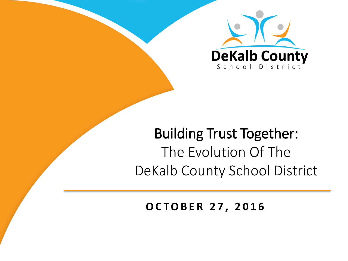

### Building Trust Together: The Evolution Of The DeKalb County School District

#### **O C T O B E R 2 7 , 2016**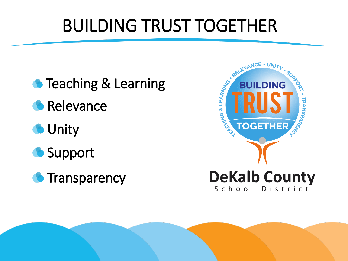# BUILDING TRUST TOGETHER

- **Teaching & Learning Relevance O** Unity **Support**
- **C** Transparency



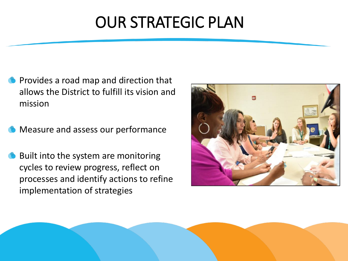## OUR STRATEGIC PLAN

- Provides a road map and direction that allows the District to fulfill its vision and mission
- Measure and assess our performance
- Built into the system are monitoring cycles to review progress, reflect on processes and identify actions to refine implementation of strategies



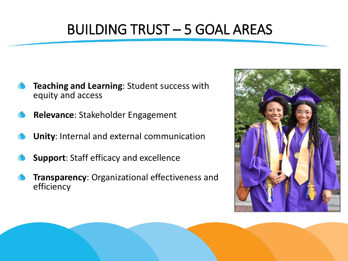### BUILDING TRUST – 5 GOAL AREAS

- **Teaching and Learning**: Student success with equity and access
- **Relevance**: Stakeholder Engagement
- **Unity**: Internal and external communication
- **Support**: Staff efficacy and excellence
- **Transparency**: Organizational effectiveness and efficiency



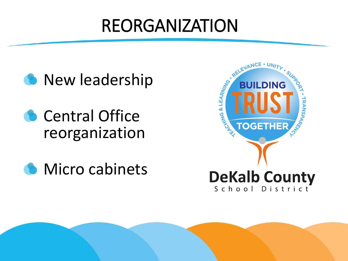# REORGANIZATION



Central Office reorganization



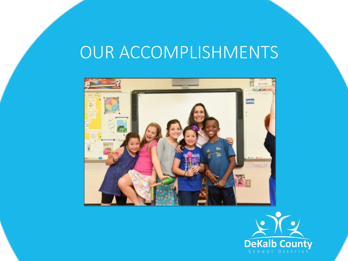## OUR ACCOMPLISHMENTS



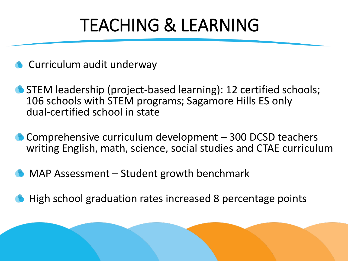# TEACHING & LEARNING

- **Curriculum audit underway**
- STEM leadership (project-based learning): 12 certified schools; 106 schools with STEM programs; Sagamore Hills ES only dual-certified school in state
- Comprehensive curriculum development 300 DCSD teachers writing English, math, science, social studies and CTAE curriculum
- MAP Assessment Student growth benchmark
- High school graduation rates increased 8 percentage points

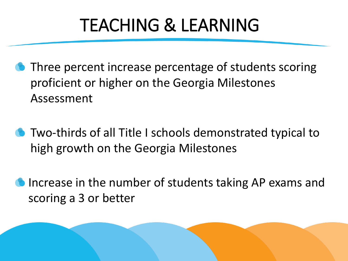# TEACHING & LEARNING

- **Three percent increase percentage of students scoring** proficient or higher on the Georgia Milestones Assessment
- Two-thirds of all Title I schools demonstrated typical to high growth on the Georgia Milestones
- Increase in the number of students taking AP exams and scoring a 3 or better

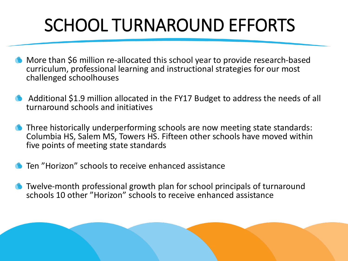# SCHOOL TURNAROUND EFFORTS

- More than \$6 million re-allocated this school year to provide research-based curriculum, professional learning and instructional strategies for our most challenged schoolhouses
- Additional \$1.9 million allocated in the FY17 Budget to address the needs of all turnaround schools and initiatives
- Three historically underperforming schools are now meeting state standards: Columbia HS, Salem MS, Towers HS. Fifteen other schools have moved within five points of meeting state standards
- Ten "Horizon" schools to receive enhanced assistance
- Twelve-month professional growth plan for school principals of turnaround schools 10 other "Horizon" schools to receive enhanced assistance